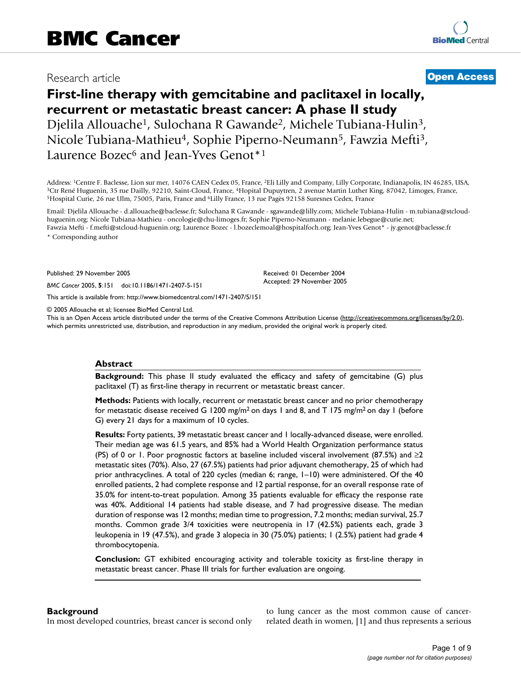# Research article **[Open Access](http://www.biomedcentral.com/info/about/charter/)**

# **First-line therapy with gemcitabine and paclitaxel in locally, recurrent or metastatic breast cancer: A phase II study** Djelila Allouache1, Sulochana R Gawande2, Michele Tubiana-Hulin3, Nicole Tubiana-Mathieu<sup>4</sup>, Sophie Piperno-Neumann<sup>5</sup>, Fawzia Mefti<sup>3</sup>, Laurence Bozec<sup>6</sup> and Jean-Yves Genot<sup>\*1</sup>

Address: <sup>1</sup>Centre F. Baclesse, Lion sur mer, 14076 CAEN Cedex 05, France, <sup>2</sup>Eli Lilly and Company, Lilly Corporate, Indianapolis, IN 46285, USA, <sup>3</sup>Ctr René Huguenin, 35 rue Dailly, 92210, Saint-Cloud, France, <sup>4</sup>Hopital

Email: Djelila Allouache - d.allouache@baclesse.fr; Sulochana R Gawande - sgawande@lilly.com; Michele Tubiana-Hulin - m.tubiana@stcloudhuguenin.org; Nicole Tubiana-Mathieu - oncologie@chu-limoges.fr; Sophie Piperno-Neumann - melanie.lebegue@curie.net; Fawzia Mefti - f.mefti@stcloud-huguenin.org; Laurence Bozec - l.bozeclemoal@hospitalfoch.org; Jean-Yves Genot\* - jy.genot@baclesse.fr \* Corresponding author

> Received: 01 December 2004 Accepted: 29 November 2005

Published: 29 November 2005

*BMC Cancer* 2005, **5**:151 doi:10.1186/1471-2407-5-151

[This article is available from: http://www.biomedcentral.com/1471-2407/5/151](http://www.biomedcentral.com/1471-2407/5/151)

© 2005 Allouache et al; licensee BioMed Central Ltd.

This is an Open Access article distributed under the terms of the Creative Commons Attribution License [\(http://creativecommons.org/licenses/by/2.0\)](http://creativecommons.org/licenses/by/2.0), which permits unrestricted use, distribution, and reproduction in any medium, provided the original work is properly cited.

#### **Abstract**

**Background:** This phase II study evaluated the efficacy and safety of gemcitabine (G) plus paclitaxel (T) as first-line therapy in recurrent or metastatic breast cancer.

**Methods:** Patients with locally, recurrent or metastatic breast cancer and no prior chemotherapy for metastatic disease received G 1200 mg/m<sup>2</sup> on days 1 and 8, and T 175 mg/m<sup>2</sup> on day 1 (before G) every 21 days for a maximum of 10 cycles.

**Results:** Forty patients, 39 metastatic breast cancer and 1 locally-advanced disease, were enrolled. Their median age was 61.5 years, and 85% had a World Health Organization performance status (PS) of 0 or 1. Poor prognostic factors at baseline included visceral involvement (87.5%) and  $\geq 2$ metastatic sites (70%). Also, 27 (67.5%) patients had prior adjuvant chemotherapy, 25 of which had prior anthracyclines. A total of 220 cycles (median 6; range, 1–10) were administered. Of the 40 enrolled patients, 2 had complete response and 12 partial response, for an overall response rate of 35.0% for intent-to-treat population. Among 35 patients evaluable for efficacy the response rate was 40%. Additional 14 patients had stable disease, and 7 had progressive disease. The median duration of response was 12 months; median time to progression, 7.2 months; median survival, 25.7 months. Common grade 3/4 toxicities were neutropenia in 17 (42.5%) patients each, grade 3 leukopenia in 19 (47.5%), and grade 3 alopecia in 30 (75.0%) patients; 1 (2.5%) patient had grade 4 thrombocytopenia.

**Conclusion:** GT exhibited encouraging activity and tolerable toxicity as first-line therapy in metastatic breast cancer. Phase III trials for further evaluation are ongoing.

#### **Background**

In most developed countries, breast cancer is second only

to lung cancer as the most common cause of cancerrelated death in women, [1] and thus represents a serious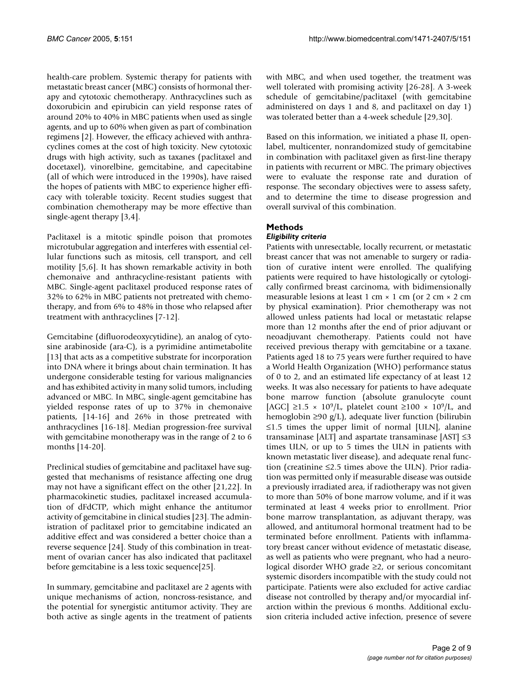health-care problem. Systemic therapy for patients with metastatic breast cancer (MBC) consists of hormonal therapy and cytotoxic chemotherapy. Anthracyclines such as doxorubicin and epirubicin can yield response rates of around 20% to 40% in MBC patients when used as single agents, and up to 60% when given as part of combination regimens [2]. However, the efficacy achieved with anthracyclines comes at the cost of high toxicity. New cytotoxic drugs with high activity, such as taxanes (paclitaxel and docetaxel), vinorelbine, gemcitabine, and capecitabine (all of which were introduced in the 1990s), have raised the hopes of patients with MBC to experience higher efficacy with tolerable toxicity. Recent studies suggest that combination chemotherapy may be more effective than single-agent therapy [3,4].

Paclitaxel is a mitotic spindle poison that promotes microtubular aggregation and interferes with essential cellular functions such as mitosis, cell transport, and cell motility [5,6]. It has shown remarkable activity in both chemonaive and anthracycline-resistant patients with MBC. Single-agent paclitaxel produced response rates of 32% to 62% in MBC patients not pretreated with chemotherapy, and from 6% to 48% in those who relapsed after treatment with anthracyclines [7-12].

Gemcitabine (difluorodeoxycytidine), an analog of cytosine arabinoside (ara-C), is a pyrimidine antimetabolite [13] that acts as a competitive substrate for incorporation into DNA where it brings about chain termination. It has undergone considerable testing for various malignancies and has exhibited activity in many solid tumors, including advanced or MBC. In MBC, single-agent gemcitabine has yielded response rates of up to 37% in chemonaive patients, [14-16] and 26% in those pretreated with anthracyclines [16-18]. Median progression-free survival with gemcitabine monotherapy was in the range of 2 to 6 months [14-20].

Preclinical studies of gemcitabine and paclitaxel have suggested that mechanisms of resistance affecting one drug may not have a significant effect on the other [21,22]. In pharmacokinetic studies, paclitaxel increased accumulation of dFdCTP, which might enhance the antitumor activity of gemcitabine in clinical studies [23]. The administration of paclitaxel prior to gemcitabine indicated an additive effect and was considered a better choice than a reverse sequence [24]. Study of this combination in treatment of ovarian cancer has also indicated that paclitaxel before gemcitabine is a less toxic sequence[25].

In summary, gemcitabine and paclitaxel are 2 agents with unique mechanisms of action, noncross-resistance, and the potential for synergistic antitumor activity. They are both active as single agents in the treatment of patients with MBC, and when used together, the treatment was well tolerated with promising activity [26-28]. A 3-week schedule of gemcitabine/paclitaxel (with gemcitabine administered on days 1 and 8, and paclitaxel on day 1) was tolerated better than a 4-week schedule [29,30].

Based on this information, we initiated a phase II, openlabel, multicenter, nonrandomized study of gemcitabine in combination with paclitaxel given as first-line therapy in patients with recurrent or MBC. The primary objectives were to evaluate the response rate and duration of response. The secondary objectives were to assess safety, and to determine the time to disease progression and overall survival of this combination.

# **Methods**

### *Eligibility criteria*

Patients with unresectable, locally recurrent, or metastatic breast cancer that was not amenable to surgery or radiation of curative intent were enrolled. The qualifying patients were required to have histologically or cytologically confirmed breast carcinoma, with bidimensionally measurable lesions at least 1 cm  $\times$  1 cm (or 2 cm  $\times$  2 cm by physical examination). Prior chemotherapy was not allowed unless patients had local or metastatic relapse more than 12 months after the end of prior adjuvant or neoadjuvant chemotherapy. Patients could not have received previous therapy with gemcitabine or a taxane. Patients aged 18 to 75 years were further required to have a World Health Organization (WHO) performance status of 0 to 2, and an estimated life expectancy of at least 12 weeks. It was also necessary for patients to have adequate bone marrow function (absolute granulocyte count [AGC] ≥1.5 × 10<sup>9</sup>/L, platelet count ≥100 × 10<sup>9</sup>/L, and hemoglobin ≥90 g/L), adequate liver function (bilirubin  $\leq$ 1.5 times the upper limit of normal [ULN], alanine transaminase [ALT] and aspartate transaminase  $[AST] \leq 3$ times ULN, or up to 5 times the ULN in patients with known metastatic liver disease), and adequate renal function (creatinine ≤2.5 times above the ULN). Prior radiation was permitted only if measurable disease was outside a previously irradiated area, if radiotherapy was not given to more than 50% of bone marrow volume, and if it was terminated at least 4 weeks prior to enrollment. Prior bone marrow transplantation, as adjuvant therapy, was allowed, and antitumoral hormonal treatment had to be terminated before enrollment. Patients with inflammatory breast cancer without evidence of metastatic disease, as well as patients who were pregnant, who had a neurological disorder WHO grade ≥2, or serious concomitant systemic disorders incompatible with the study could not participate. Patients were also excluded for active cardiac disease not controlled by therapy and/or myocardial infarction within the previous 6 months. Additional exclusion criteria included active infection, presence of severe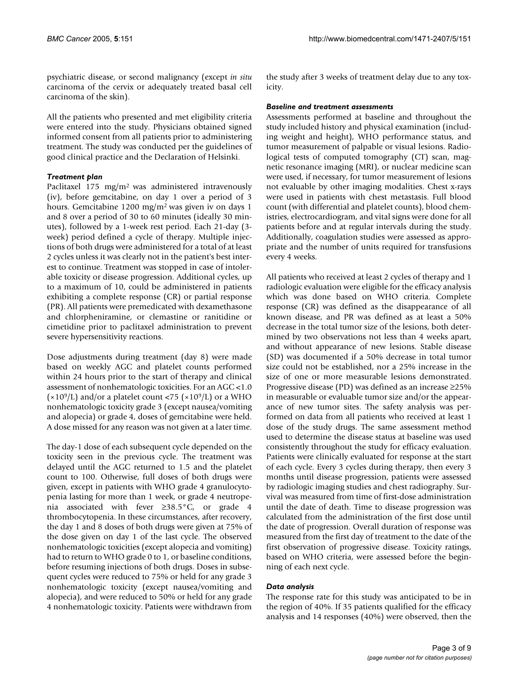psychiatric disease, or second malignancy (except *in situ* carcinoma of the cervix or adequately treated basal cell carcinoma of the skin).

All the patients who presented and met eligibility criteria were entered into the study. Physicians obtained signed informed consent from all patients prior to administering treatment. The study was conducted per the guidelines of good clinical practice and the Declaration of Helsinki.

# *Treatment plan*

Paclitaxel 175 mg/m2 was administered intravenously (iv), before gemcitabine, on day 1 over a period of 3 hours. Gemcitabine 1200 mg/m<sup>2</sup> was given iv on days 1 and 8 over a period of 30 to 60 minutes (ideally 30 minutes), followed by a 1-week rest period. Each 21-day (3 week) period defined a cycle of therapy. Multiple injections of both drugs were administered for a total of at least 2 cycles unless it was clearly not in the patient's best interest to continue. Treatment was stopped in case of intolerable toxicity or disease progression. Additional cycles, up to a maximum of 10, could be administered in patients exhibiting a complete response (CR) or partial response (PR). All patients were premedicated with dexamethasone and chlorpheniramine, or clemastine or ranitidine or cimetidine prior to paclitaxel administration to prevent severe hypersensitivity reactions.

Dose adjustments during treatment (day 8) were made based on weekly AGC and platelet counts performed within 24 hours prior to the start of therapy and clinical assessment of nonhematologic toxicities. For an AGC <1.0  $(x10<sup>9</sup>/L)$  and/or a platelet count <75 ( $\times 10<sup>9</sup>/L$ ) or a WHO nonhematologic toxicity grade 3 (except nausea/vomiting and alopecia) or grade 4, doses of gemcitabine were held. A dose missed for any reason was not given at a later time.

The day-1 dose of each subsequent cycle depended on the toxicity seen in the previous cycle. The treatment was delayed until the AGC returned to 1.5 and the platelet count to 100. Otherwise, full doses of both drugs were given, except in patients with WHO grade 4 granulocytopenia lasting for more than 1 week, or grade 4 neutropenia associated with fever ≥38.5°C, or grade 4 thrombocytopenia. In these circumstances, after recovery, the day 1 and 8 doses of both drugs were given at 75% of the dose given on day 1 of the last cycle. The observed nonhematologic toxicities (except alopecia and vomiting) had to return to WHO grade 0 to 1, or baseline conditions, before resuming injections of both drugs. Doses in subsequent cycles were reduced to 75% or held for any grade 3 nonhematologic toxicity (except nausea/vomiting and alopecia), and were reduced to 50% or held for any grade 4 nonhematologic toxicity. Patients were withdrawn from

the study after 3 weeks of treatment delay due to any toxicity.

### *Baseline and treatment assessments*

Assessments performed at baseline and throughout the study included history and physical examination (including weight and height), WHO performance status, and tumor measurement of palpable or visual lesions. Radiological tests of computed tomography (CT) scan, magnetic resonance imaging (MRI), or nuclear medicine scan were used, if necessary, for tumor measurement of lesions not evaluable by other imaging modalities. Chest x-rays were used in patients with chest metastasis. Full blood count (with differential and platelet counts), blood chemistries, electrocardiogram, and vital signs were done for all patients before and at regular intervals during the study. Additionally, coagulation studies were assessed as appropriate and the number of units required for transfusions every 4 weeks.

All patients who received at least 2 cycles of therapy and 1 radiologic evaluation were eligible for the efficacy analysis which was done based on WHO criteria. Complete response (CR) was defined as the disappearance of all known disease, and PR was defined as at least a 50% decrease in the total tumor size of the lesions, both determined by two observations not less than 4 weeks apart, and without appearance of new lesions. Stable disease (SD) was documented if a 50% decrease in total tumor size could not be established, nor a 25% increase in the size of one or more measurable lesions demonstrated. Progressive disease (PD) was defined as an increase ≥25% in measurable or evaluable tumor size and/or the appearance of new tumor sites. The safety analysis was performed on data from all patients who received at least 1 dose of the study drugs. The same assessment method used to determine the disease status at baseline was used consistently throughout the study for efficacy evaluation. Patients were clinically evaluated for response at the start of each cycle. Every 3 cycles during therapy, then every 3 months until disease progression, patients were assessed by radiologic imaging studies and chest radiography. Survival was measured from time of first-dose administration until the date of death. Time to disease progression was calculated from the administration of the first dose until the date of progression. Overall duration of response was measured from the first day of treatment to the date of the first observation of progressive disease. Toxicity ratings, based on WHO criteria, were assessed before the beginning of each next cycle.

### *Data analysis*

The response rate for this study was anticipated to be in the region of 40%. If 35 patients qualified for the efficacy analysis and 14 responses (40%) were observed, then the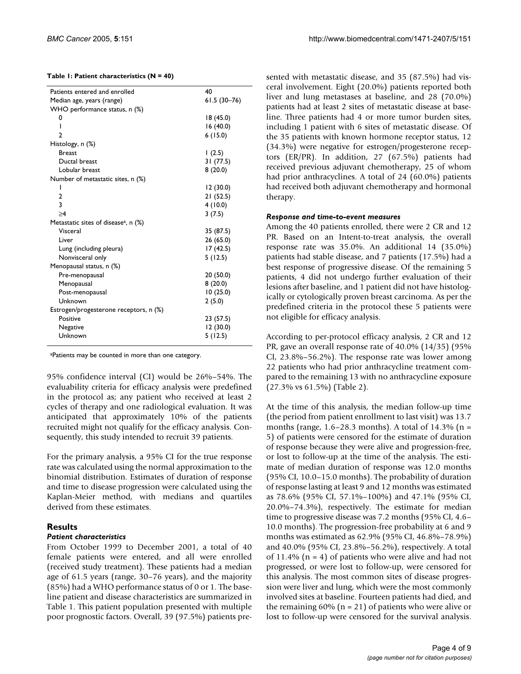#### **Table 1: Patient characteristics (N = 40)**

| Patients entered and enrolled                    | 40            |
|--------------------------------------------------|---------------|
| Median age, years (range)                        | $61.5(30-76)$ |
| WHO performance status, n (%)                    |               |
| 0                                                | 18 (45.0)     |
| ı                                                | 16(40.0)      |
| 2                                                | 6(15.0)       |
| Histology, n (%)                                 |               |
| <b>Breast</b>                                    | 1(2.5)        |
| Ductal breast                                    | 31 (77.5)     |
| Lobular breast                                   | 8(20.0)       |
| Number of metastatic sites, n (%)                |               |
| I                                                | 12(30.0)      |
| 2                                                | 21(52.5)      |
| 3                                                | 4(10.0)       |
| >4                                               | 3(7.5)        |
| Metastatic sites of disease <sup>a</sup> , n (%) |               |
| Visceral                                         | 35 (87.5)     |
| Liver                                            | 26 (65.0)     |
| Lung (including pleura)                          | 17(42.5)      |
| Nonvisceral only                                 | 5(12.5)       |
| Menopausal status, n (%)                         |               |
| Pre-menopausal                                   | 20 (50.0)     |
| Menopausal                                       | 8(20.0)       |
| Post-menopausal                                  | 10(25.0)      |
| Unknown                                          | 2(5.0)        |
| Estrogen/progesterone receptors, n (%)           |               |
| Positive                                         | 23 (57.5)     |
| Negative                                         | 12(30.0)      |
| Unknown                                          | 5(12.5)       |
|                                                  |               |

aPatients may be counted in more than one category.

95% confidence interval (CI) would be 26%–54%. The evaluability criteria for efficacy analysis were predefined in the protocol as; any patient who received at least 2 cycles of therapy and one radiological evaluation. It was anticipated that approximately 10% of the patients recruited might not qualify for the efficacy analysis. Consequently, this study intended to recruit 39 patients.

For the primary analysis, a 95% CI for the true response rate was calculated using the normal approximation to the binomial distribution. Estimates of duration of response and time to disease progression were calculated using the Kaplan-Meier method, with medians and quartiles derived from these estimates.

### **Results**

#### *Patient characteristics*

From October 1999 to December 2001, a total of 40 female patients were entered, and all were enrolled (received study treatment). These patients had a median age of 61.5 years (range, 30–76 years), and the majority (85%) had a WHO performance status of 0 or 1. The baseline patient and disease characteristics are summarized in Table 1. This patient population presented with multiple poor prognostic factors. Overall, 39 (97.5%) patients presented with metastatic disease, and 35 (87.5%) had visceral involvement. Eight (20.0%) patients reported both liver and lung metastases at baseline, and 28 (70.0%) patients had at least 2 sites of metastatic disease at baseline. Three patients had 4 or more tumor burden sites, including 1 patient with 6 sites of metastatic disease. Of the 35 patients with known hormone receptor status, 12 (34.3%) were negative for estrogen/progesterone receptors (ER/PR). In addition, 27 (67.5%) patients had received previous adjuvant chemotherapy, 25 of whom had prior anthracyclines. A total of 24 (60.0%) patients had received both adjuvant chemotherapy and hormonal therapy.

#### *Response and time-to-event measures*

Among the 40 patients enrolled, there were 2 CR and 12 PR. Based on an Intent-to-treat analysis, the overall response rate was 35.0%. An additional 14 (35.0%) patients had stable disease, and 7 patients (17.5%) had a best response of progressive disease. Of the remaining 5 patients, 4 did not undergo further evaluation of their lesions after baseline, and 1 patient did not have histologically or cytologically proven breast carcinoma. As per the predefined criteria in the protocol these 5 patients were not eligible for efficacy analysis.

According to per-protocol efficacy analysis, 2 CR and 12 PR, gave an overall response rate of 40.0% (14/35) (95% CI, 23.8%–56.2%). The response rate was lower among 22 patients who had prior anthracycline treatment compared to the remaining 13 with no anthracycline exposure (27.3% vs 61.5%) (Table 2).

At the time of this analysis, the median follow-up time (the period from patient enrollment to last visit) was 13.7 months (range, 1.6–28.3 months). A total of  $14.3\%$  (n = 5) of patients were censored for the estimate of duration of response because they were alive and progression-free, or lost to follow-up at the time of the analysis. The estimate of median duration of response was 12.0 months (95% CI, 10.0–15.0 months). The probability of duration of response lasting at least 9 and 12 months was estimated as 78.6% (95% CI, 57.1%–100%) and 47.1% (95% CI, 20.0%–74.3%), respectively. The estimate for median time to progressive disease was 7.2 months (95% CI, 4.6– 10.0 months). The progression-free probability at 6 and 9 months was estimated as 62.9% (95% CI, 46.8%–78.9%) and 40.0% (95% CI, 23.8%–56.2%), respectively. A total of 11.4% ( $n = 4$ ) of patients who were alive and had not progressed, or were lost to follow-up, were censored for this analysis. The most common sites of disease progression were liver and lung, which were the most commonly involved sites at baseline. Fourteen patients had died, and the remaining  $60\%$  (n = 21) of patients who were alive or lost to follow-up were censored for the survival analysis.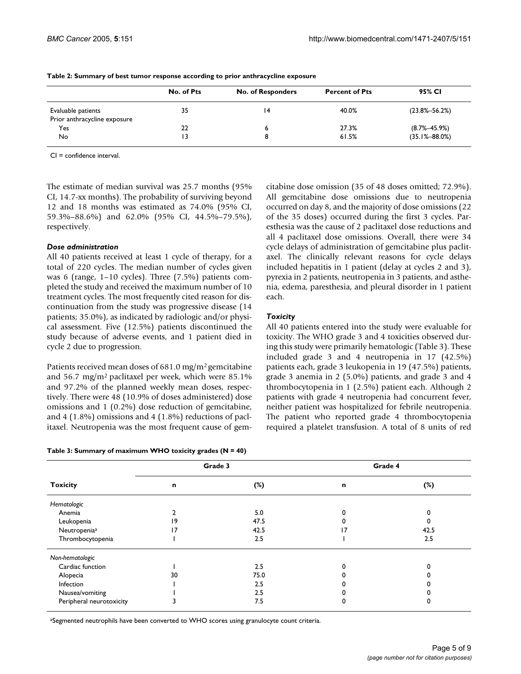|                              | No. of Pts | <b>No. of Responders</b> | <b>Percent of Pts</b> | 95% CI                        |
|------------------------------|------------|--------------------------|-----------------------|-------------------------------|
| Evaluable patients           | 35         | 14                       | 40.0%                 | $(23.8\text{--}56.2\text{%)}$ |
| Prior anthracycline exposure |            |                          |                       |                               |
| Yes                          | 22         | o                        | 27.3%                 | $(8.7\% - 45.9\%)$            |
| No                           | 13         | 8                        | 61.5%                 | $(35.1\% - 88.0\%)$           |

|  | Table 2: Summary of best tumor response according to prior anthracycline exposure |
|--|-----------------------------------------------------------------------------------|
|  |                                                                                   |

CI = confidence interval.

The estimate of median survival was 25.7 months (95% CI, 14.7-xx months). The probability of surviving beyond 12 and 18 months was estimated as 74.0% (95% CI, 59.3%–88.6%) and 62.0% (95% CI, 44.5%–79.5%), respectively.

#### *Dose administration*

All 40 patients received at least 1 cycle of therapy, for a total of 220 cycles. The median number of cycles given was 6 (range, 1–10 cycles). Three (7.5%) patients completed the study and received the maximum number of 10 treatment cycles. The most frequently cited reason for discontinuation from the study was progressive disease (14 patients; 35.0%), as indicated by radiologic and/or physical assessment. Five (12.5%) patients discontinued the study because of adverse events, and 1 patient died in cycle 2 due to progression.

Patients received mean doses of 681.0 mg/m2 gemcitabine and 56.7 mg/m2 paclitaxel per week, which were 85.1% and 97.2% of the planned weekly mean doses, respectively. There were 48 (10.9% of doses administered) dose omissions and 1 (0.2%) dose reduction of gemcitabine, and 4 (1.8%) omissions and 4 (1.8%) reductions of paclitaxel. Neutropenia was the most frequent cause of gem-

| Table 3: Summary of maximum WHO toxicity grades (N = 40) |  |  |  |  |  |
|----------------------------------------------------------|--|--|--|--|--|
|----------------------------------------------------------|--|--|--|--|--|

citabine dose omission (35 of 48 doses omitted; 72.9%). All gemcitabine dose omissions due to neutropenia occurred on day 8, and the majority of dose omissions (22 of the 35 doses) occurred during the first 3 cycles. Paresthesia was the cause of 2 paclitaxel dose reductions and all 4 paclitaxel dose omissions. Overall, there were 34 cycle delays of administration of gemcitabine plus paclitaxel. The clinically relevant reasons for cycle delays included hepatitis in 1 patient (delay at cycles 2 and 3), pyrexia in 2 patients, neutropenia in 3 patients, and asthenia, edema, paresthesia, and pleural disorder in 1 patient each.

# *Toxicity*

All 40 patients entered into the study were evaluable for toxicity. The WHO grade 3 and 4 toxicities observed during this study were primarily hematologic (Table 3). These included grade 3 and 4 neutropenia in 17 (42.5%) patients each, grade 3 leukopenia in 19 (47.5%) patients, grade 3 anemia in 2 (5.0%) patients, and grade 3 and 4 thrombocytopenia in 1 (2.5%) patient each. Although 2 patients with grade 4 neutropenia had concurrent fever, neither patient was hospitalized for febrile neutropenia. The patient who reported grade 4 thrombocytopenia required a platelet transfusion. A total of 8 units of red

| <b>Toxicity</b>          |     | Grade 3      | Grade 4 |        |  |
|--------------------------|-----|--------------|---------|--------|--|
|                          | n   | $(\%)$       | n       | $(\%)$ |  |
| Hematologic              |     |              |         |        |  |
| Anemia                   |     | 5.0          |         | 0      |  |
| Leukopenia               | 19  | 47.5<br>42.5 |         | 42.5   |  |
| Neutropenia <sup>a</sup> | 17  |              |         |        |  |
| Thrombocytopenia         |     | 2.5          |         | 2.5    |  |
| Non-hematologic          |     |              |         |        |  |
| Cardiac function         |     | 2.5          |         | O      |  |
| Alopecia<br>30           |     | 75.0         |         |        |  |
| Infection                |     |              |         |        |  |
| Nausea/vomiting          | 2.5 |              |         |        |  |
| Peripheral neurotoxicity |     | 7.5          |         |        |  |

aSegmented neutrophils have been converted to WHO scores using granulocyte count criteria.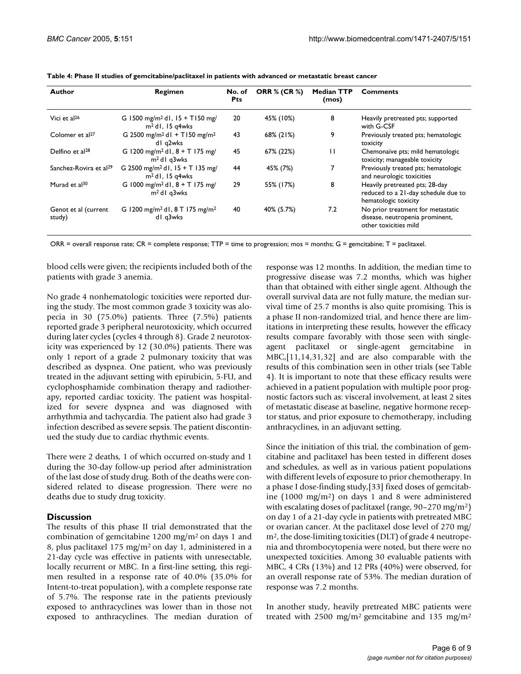| Author                             | Regimen                                                                         | No. of<br><b>Pts</b> | <b>ORR % (CR %)</b> | <b>Median TTP</b><br>(mos) | <b>Comments</b>                                                                               |
|------------------------------------|---------------------------------------------------------------------------------|----------------------|---------------------|----------------------------|-----------------------------------------------------------------------------------------------|
| Vici et al <sup>26</sup>           | G 1500 mg/m <sup>2</sup> d1, 15 + T150 mg/<br>$m2$ d1, 15 q4wks                 | 20                   | 45% (10%)           | 8                          | Heavily pretreated pts; supported<br>with G-CSF                                               |
| Colomer et al <sup>27</sup>        | G 2500 mg/m <sup>2</sup> d1 + T150 mg/m <sup>2</sup><br>dl q2wks                | 43                   | 68% (21%)           | 9                          | Previously treated pts; hematologic<br>toxicity                                               |
| Delfino et al $^{28}$              | G 1200 mg/m <sup>2</sup> d1, $8 + T$ 175 mg/<br>$m2$ d I g3wks                  | 45                   | 67% (22%)           | $\mathbf{H}$               | Chemonaïve pts; mild hematologic<br>toxicity; manageable toxicity                             |
| Sanchez-Rovira et al <sup>29</sup> | G 2500 mg/m <sup>2</sup> d1, $15 + T$ 135 mg/<br>$m2$ d <sub>1</sub> , 15 g4wks | 44                   | 45% (7%)            | 7                          | Previously treated pts; hematologic<br>and neurologic toxicities                              |
| Murad et al <sup>30</sup>          | G 1000 mg/m <sup>2</sup> d1, $8 + T$ 175 mg/<br>$m2$ dl q3wks                   | 29                   | 55% (17%)           | 8                          | Heavily pretreated pts; 28-day<br>reduced to a 21-day schedule due to<br>hematologic toxicity |
| Genot et al (current<br>study)     | G 1200 mg/m <sup>2</sup> d1, 8 T 175 mg/m <sup>2</sup><br>dl q3wks              | 40                   | 40% (5.7%)          | 7.2                        | No prior treatment for metastatic<br>disease, neutropenia prominent,<br>other toxicities mild |

**Table 4: Phase II studies of gemcitabine/paclitaxel in patients with advanced or metastatic breast cancer**

ORR = overall response rate; CR = complete response; TTP = time to progression; mos = months; G = gemcitabine; T = paclitaxel.

blood cells were given; the recipients included both of the patients with grade 3 anemia.

No grade 4 nonhematologic toxicities were reported during the study. The most common grade 3 toxicity was alopecia in 30 (75.0%) patients. Three (7.5%) patients reported grade 3 peripheral neurotoxicity, which occurred during later cycles (cycles 4 through 8). Grade 2 neurotoxicity was experienced by 12 (30.0%) patients. There was only 1 report of a grade 2 pulmonary toxicity that was described as dyspnea. One patient, who was previously treated in the adjuvant setting with epirubicin, 5-FU, and cyclophosphamide combination therapy and radiotherapy, reported cardiac toxicity. The patient was hospitalized for severe dyspnea and was diagnosed with arrhythmia and tachycardia. The patient also had grade 3 infection described as severe sepsis. The patient discontinued the study due to cardiac rhythmic events.

There were 2 deaths, 1 of which occurred on-study and 1 during the 30-day follow-up period after administration of the last dose of study drug. Both of the deaths were considered related to disease progression. There were no deaths due to study drug toxicity.

# **Discussion**

The results of this phase II trial demonstrated that the combination of gemcitabine 1200 mg/m2 on days 1 and 8, plus paclitaxel 175 mg/m2 on day 1, administered in a 21-day cycle was effective in patients with unresectable, locally recurrent or MBC. In a first-line setting, this regimen resulted in a response rate of 40.0% (35.0% for Intent-to-treat population), with a complete response rate of 5.7%. The response rate in the patients previously exposed to anthracyclines was lower than in those not exposed to anthracyclines. The median duration of response was 12 months. In addition, the median time to progressive disease was 7.2 months, which was higher than that obtained with either single agent. Although the overall survival data are not fully mature, the median survival time of 25.7 months is also quite promising. This is a phase II non-randomized trial, and hence there are limitations in interpreting these results, however the efficacy results compare favorably with those seen with singleagent paclitaxel or single-agent gemcitabine in MBC,[11,14,31,32] and are also comparable with the results of this combination seen in other trials (see Table 4). It is important to note that these efficacy results were achieved in a patient population with multiple poor prognostic factors such as: visceral involvement, at least 2 sites of metastatic disease at baseline, negative hormone receptor status, and prior exposure to chemotherapy, including anthracyclines, in an adjuvant setting.

Since the initiation of this trial, the combination of gemcitabine and paclitaxel has been tested in different doses and schedules, as well as in various patient populations with different levels of exposure to prior chemotherapy. In a phase I dose-finding study,[33] fixed doses of gemcitabine (1000 mg/m2) on days 1 and 8 were administered with escalating doses of paclitaxel (range, 90–270 mg/m2) on day 1 of a 21-day cycle in patients with pretreated MBC or ovarian cancer. At the paclitaxel dose level of 270 mg/  $m<sup>2</sup>$ , the dose-limiting toxicities (DLT) of grade 4 neutropenia and thrombocytopenia were noted, but there were no unexpected toxicities. Among 30 evaluable patients with MBC, 4 CRs (13%) and 12 PRs (40%) were observed, for an overall response rate of 53%. The median duration of response was 7.2 months.

In another study, heavily pretreated MBC patients were treated with 2500 mg/m<sup>2</sup> gemcitabine and 135 mg/m<sup>2</sup>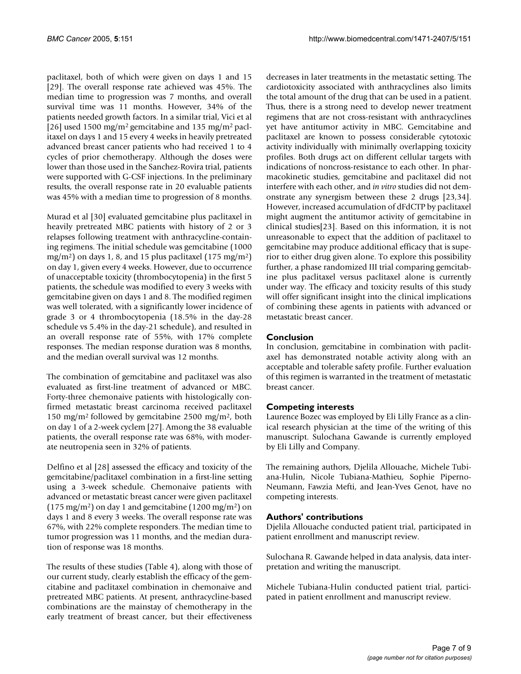paclitaxel, both of which were given on days 1 and 15 [29]. The overall response rate achieved was 45%. The median time to progression was 7 months, and overall survival time was 11 months. However, 34% of the patients needed growth factors. In a similar trial, Vici et al [26] used 1500 mg/m2 gemcitabine and 135 mg/m2 paclitaxel on days 1 and 15 every 4 weeks in heavily pretreated advanced breast cancer patients who had received 1 to 4 cycles of prior chemotherapy. Although the doses were lower than those used in the Sanchez-Rovira trial, patients were supported with G-CSF injections. In the preliminary results, the overall response rate in 20 evaluable patients was 45% with a median time to progression of 8 months.

Murad et al [30] evaluated gemcitabine plus paclitaxel in heavily pretreated MBC patients with history of 2 or 3 relapses following treatment with anthracycline-containing regimens. The initial schedule was gemcitabine (1000 mg/m<sup>2</sup>) on days 1, 8, and 15 plus paclitaxel (175 mg/m<sup>2</sup>) on day 1, given every 4 weeks. However, due to occurrence of unacceptable toxicity (thrombocytopenia) in the first 5 patients, the schedule was modified to every 3 weeks with gemcitabine given on days 1 and 8. The modified regimen was well tolerated, with a significantly lower incidence of grade 3 or 4 thrombocytopenia (18.5% in the day-28 schedule vs 5.4% in the day-21 schedule), and resulted in an overall response rate of 55%, with 17% complete responses. The median response duration was 8 months, and the median overall survival was 12 months.

The combination of gemcitabine and paclitaxel was also evaluated as first-line treatment of advanced or MBC. Forty-three chemonaive patients with histologically confirmed metastatic breast carcinoma received paclitaxel 150 mg/m<sup>2</sup> followed by gemcitabine 2500 mg/m<sup>2</sup>, both on day 1 of a 2-week cyclem [27]. Among the 38 evaluable patients, the overall response rate was 68%, with moderate neutropenia seen in 32% of patients.

Delfino et al [28] assessed the efficacy and toxicity of the gemcitabine/paclitaxel combination in a first-line setting using a 3-week schedule. Chemonaive patients with advanced or metastatic breast cancer were given paclitaxel  $(175 \text{ mg/m}^2)$  on day 1 and gemcitabine  $(1200 \text{ mg/m}^2)$  on days 1 and 8 every 3 weeks. The overall response rate was 67%, with 22% complete responders. The median time to tumor progression was 11 months, and the median duration of response was 18 months.

The results of these studies (Table 4), along with those of our current study, clearly establish the efficacy of the gemcitabine and paclitaxel combination in chemonaive and pretreated MBC patients. At present, anthracycline-based combinations are the mainstay of chemotherapy in the early treatment of breast cancer, but their effectiveness

decreases in later treatments in the metastatic setting. The cardiotoxicity associated with anthracyclines also limits the total amount of the drug that can be used in a patient. Thus, there is a strong need to develop newer treatment regimens that are not cross-resistant with anthracyclines yet have antitumor activity in MBC. Gemcitabine and paclitaxel are known to possess considerable cytotoxic activity individually with minimally overlapping toxicity profiles. Both drugs act on different cellular targets with indications of noncross-resistance to each other. In pharmacokinetic studies, gemcitabine and paclitaxel did not interfere with each other, and *in vitro* studies did not demonstrate any synergism between these 2 drugs [23,34]. However, increased accumulation of dFdCTP by paclitaxel might augment the antitumor activity of gemcitabine in clinical studies[23]. Based on this information, it is not unreasonable to expect that the addition of paclitaxel to gemcitabine may produce additional efficacy that is superior to either drug given alone. To explore this possibility further, a phase randomized III trial comparing gemcitabine plus paclitaxel versus paclitaxel alone is currently under way. The efficacy and toxicity results of this study will offer significant insight into the clinical implications of combining these agents in patients with advanced or metastatic breast cancer.

# **Conclusion**

In conclusion, gemcitabine in combination with paclitaxel has demonstrated notable activity along with an acceptable and tolerable safety profile. Further evaluation of this regimen is warranted in the treatment of metastatic breast cancer.

# **Competing interests**

Laurence Bozec was employed by Eli Lilly France as a clinical research physician at the time of the writing of this manuscript. Sulochana Gawande is currently employed by Eli Lilly and Company.

The remaining authors, Djelila Allouache, Michele Tubiana-Hulin, Nicole Tubiana-Mathieu, Sophie Piperno-Neumann, Fawzia Mefti, and Jean-Yves Genot, have no competing interests.

# **Authors' contributions**

Djelila Allouache conducted patient trial, participated in patient enrollment and manuscript review.

Sulochana R. Gawande helped in data analysis, data interpretation and writing the manuscript.

Michele Tubiana-Hulin conducted patient trial, participated in patient enrollment and manuscript review.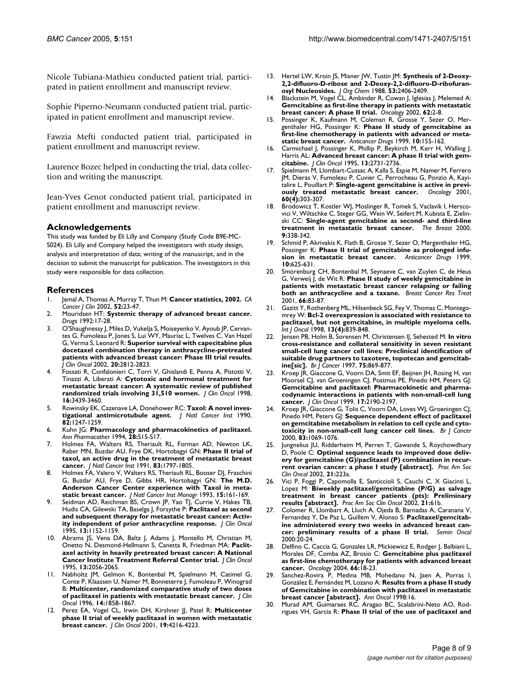Nicole Tubiana-Mathieu conducted patient trial, participated in patient enrollment and manuscript review.

Sophie Piperno-Neumann conducted patient trial, participated in patient enrollment and manuscript review.

Fawzia Mefti conducted patient trial, participated in patient enrollment and manuscript review.

Laurence Bozec helped in conducting the trial, data collection and writing the manuscript.

Jean-Yves Genot conducted patient trial, participated in patient enrollment and manuscript review.

#### **Acknowledgements**

This study was funded by Eli Lilly and Company (Study Code B9E-MC-S024). Eli Lilly and Company helped the investigators with study design, analysis and interpretation of data; writing of the manuscript, and in the decision to submit the manuscript for publication. The investigators in this study were responsible for data collection.

#### **References**

- 1. Jemal A, Thomas A, Murray T, Thun M: **[Cancer statistics, 2002.](http://www.ncbi.nlm.nih.gov/entrez/query.fcgi?cmd=Retrieve&db=PubMed&dopt=Abstract&list_uids=11814064)** *CA Cancer J Clin* 2002, **52:**23-47.
- 2. Mouridsen HT: **Systemic therapy of advanced breast cancer.** *Drugs* 1992:17-28.
- 3. O'Shaughnessy J, Miles D, Vukelja S, Moiseyenko V, Ayoub JP, Cervantes G, Fumoleau P, Jones S, Lui WY, Mauriac L, Twelves C, Van Hazel G, Verma S, Leonard R: **[Superior survival with capecitabine plus](http://www.ncbi.nlm.nih.gov/entrez/query.fcgi?cmd=Retrieve&db=PubMed&dopt=Abstract&list_uids=12065558) docetaxel combination therapy in anthracycline-pretreated [patients with advanced breast cancer: Phase III trial results.](http://www.ncbi.nlm.nih.gov/entrez/query.fcgi?cmd=Retrieve&db=PubMed&dopt=Abstract&list_uids=12065558)** *J Clin Oncol* 2002, **20:**2812-2823.
- 4. Fossati R, Confalonieri C, Torri V, Ghislandi E, Penna A, Pistotti V, Tinazzi A, Liberati A: **[Cytotoxic and hormonal treatment for](http://www.ncbi.nlm.nih.gov/entrez/query.fcgi?cmd=Retrieve&db=PubMed&dopt=Abstract&list_uids=9779724) [metastatic breast cancer: A systematic review of published](http://www.ncbi.nlm.nih.gov/entrez/query.fcgi?cmd=Retrieve&db=PubMed&dopt=Abstract&list_uids=9779724) [randomized trials involving 31,510 women.](http://www.ncbi.nlm.nih.gov/entrez/query.fcgi?cmd=Retrieve&db=PubMed&dopt=Abstract&list_uids=9779724)** *J Clin Oncol* 1998, **16:**3439-3460.
- 5. Rowinsky EK, Cazenave LA, Donehower RC: **[Taxol: A novel inves](http://www.ncbi.nlm.nih.gov/entrez/query.fcgi?cmd=Retrieve&db=PubMed&dopt=Abstract&list_uids=1973737)[tigational antimicrotubule agent.](http://www.ncbi.nlm.nih.gov/entrez/query.fcgi?cmd=Retrieve&db=PubMed&dopt=Abstract&list_uids=1973737)** *J Natl Cancer Inst* 1990, **82:**1247-1259.
- 6. Kuhn JG: **[Pharmacology and pharmacokinetics of paclitaxel.](http://www.ncbi.nlm.nih.gov/entrez/query.fcgi?cmd=Retrieve&db=PubMed&dopt=Abstract&list_uids=7915153)** *Ann Pharmacother* 1994, **28:**S15-S17.
- Holmes FA, Walters RS, Theriault RL, Forman AD, Newton LK, Raber MN, Buzdar AU, Frye DK, Hortobagyi GN: **[Phase II trial of](http://www.ncbi.nlm.nih.gov/entrez/query.fcgi?cmd=Retrieve&db=PubMed&dopt=Abstract&list_uids=1683908) [taxol, an active drug in the treatment of metastatic breast](http://www.ncbi.nlm.nih.gov/entrez/query.fcgi?cmd=Retrieve&db=PubMed&dopt=Abstract&list_uids=1683908) [cancer.](http://www.ncbi.nlm.nih.gov/entrez/query.fcgi?cmd=Retrieve&db=PubMed&dopt=Abstract&list_uids=1683908)** *J Natl Cancer Inst* 1991, **83:**1797-1805.
- 8. Holmes FA, Valero V, Walters RS, Theriault RL, Booser DJ, Fraschini G, Buzdar AU, Frye D, Gibbs HR, Hortobagyi GN: **[The M.D.](http://www.ncbi.nlm.nih.gov/entrez/query.fcgi?cmd=Retrieve&db=PubMed&dopt=Abstract&list_uids=7912522) [Anderson Cancer Center experience with Taxol in meta](http://www.ncbi.nlm.nih.gov/entrez/query.fcgi?cmd=Retrieve&db=PubMed&dopt=Abstract&list_uids=7912522)[static breast cancer.](http://www.ncbi.nlm.nih.gov/entrez/query.fcgi?cmd=Retrieve&db=PubMed&dopt=Abstract&list_uids=7912522)** *J Natl Cancer Inst Monogr* 1993, **15:**161-169.
- 9. Seidman AD, Reichman BS, Crown JP, Yao TJ, Currie V, Hakes TB, Hudis CA, Gilewski TA, Baselga J, Forsythe P: **[Paclitaxel as second](http://www.ncbi.nlm.nih.gov/entrez/query.fcgi?cmd=Retrieve&db=PubMed&dopt=Abstract&list_uids=7537798) [and subsequent therapy for metastatic breast cancer: Activ](http://www.ncbi.nlm.nih.gov/entrez/query.fcgi?cmd=Retrieve&db=PubMed&dopt=Abstract&list_uids=7537798)[ity independent of prior anthracycline response.](http://www.ncbi.nlm.nih.gov/entrez/query.fcgi?cmd=Retrieve&db=PubMed&dopt=Abstract&list_uids=7537798)** *J Clin Oncol* 1995, **13:**1152-1159.
- Abrams JS, Vena DA, Baltz J, Adams J, Montello M, Christian M, Onetto N, Desmond-Hellmann S, Canetta R, Friedman MA: **[Paclit](http://www.ncbi.nlm.nih.gov/entrez/query.fcgi?cmd=Retrieve&db=PubMed&dopt=Abstract&list_uids=7543562)[axel activity in heavily pretreated breast cancer: A National](http://www.ncbi.nlm.nih.gov/entrez/query.fcgi?cmd=Retrieve&db=PubMed&dopt=Abstract&list_uids=7543562) [Cancer Institute Treatment Referral Center trial.](http://www.ncbi.nlm.nih.gov/entrez/query.fcgi?cmd=Retrieve&db=PubMed&dopt=Abstract&list_uids=7543562)** *J Clin Oncol* 1995, **13:**2056-2065.
- 11. Nabholtz JM, Gelmon K, Bontenbal M, Spielmann M, Catimel G, Conte P, Klaassen U, Namer M, Bonneterre J, Fumoleau P, Winograd B: **[Multicenter, randomized comparative study of two doses](http://www.ncbi.nlm.nih.gov/entrez/query.fcgi?cmd=Retrieve&db=PubMed&dopt=Abstract&list_uids=8656254) [of paclitaxel in patients with metastatic breast cancer.](http://www.ncbi.nlm.nih.gov/entrez/query.fcgi?cmd=Retrieve&db=PubMed&dopt=Abstract&list_uids=8656254)** *J Clin Oncol* 1996, **14:**1858-1867.
- 12. Perez EA, Vogel CL, Irwin DH, Kirshner JJ, Patel R: **[Multicenter](http://www.ncbi.nlm.nih.gov/entrez/query.fcgi?cmd=Retrieve&db=PubMed&dopt=Abstract&list_uids=11709565) [phase II trial of weekly paclitaxel in women with metastatic](http://www.ncbi.nlm.nih.gov/entrez/query.fcgi?cmd=Retrieve&db=PubMed&dopt=Abstract&list_uids=11709565) [breast cancer.](http://www.ncbi.nlm.nih.gov/entrez/query.fcgi?cmd=Retrieve&db=PubMed&dopt=Abstract&list_uids=11709565)** *J Clin Oncol* 2001, **19:**4216-4223.
- 13. Hertel LW, Kroin JS, Misner JW, Tustin JM: Synthesis of 2-Deoxy-**2,2-difluoro-D-ribose and 2-Deoxy-2,2-difluoro-D-ribofuranosyl Nucleosides.** *J Org Chem* 1988, **53:**2406-2409.
- 14. Blackstein M, Vogel CL, Ambinder R, Cowan J, Iglesias J, Melemed A: **[Gemcitabine as first-line therapy in patients with metastatic](http://www.ncbi.nlm.nih.gov/entrez/query.fcgi?cmd=Retrieve&db=PubMed&dopt=Abstract&list_uids=11810037) [breast cancer: A phase II trial.](http://www.ncbi.nlm.nih.gov/entrez/query.fcgi?cmd=Retrieve&db=PubMed&dopt=Abstract&list_uids=11810037)** *Oncology* 2002, **62:**2-8.
- 15. Possinger K, Kaufmann M, Coleman R, Grosse Y, Sezer O, Mergenthaler HG, Possinger K: **[Phase II study of gemcitabine as](http://www.ncbi.nlm.nih.gov/entrez/query.fcgi?cmd=Retrieve&db=PubMed&dopt=Abstract&list_uids=10211545) [first-line chemotherapy in patients with advanced or meta](http://www.ncbi.nlm.nih.gov/entrez/query.fcgi?cmd=Retrieve&db=PubMed&dopt=Abstract&list_uids=10211545)[static breast cancer.](http://www.ncbi.nlm.nih.gov/entrez/query.fcgi?cmd=Retrieve&db=PubMed&dopt=Abstract&list_uids=10211545)** *Anticancer Drugs* 1999, **10:**155-162.
- 16. Carmichael J, Possinger K, Phillip P, Beykirch M, Kerr H, Walling J, Harris AL: **[Advanced breast cancer: A phase II trial with gem](http://www.ncbi.nlm.nih.gov/entrez/query.fcgi?cmd=Retrieve&db=PubMed&dopt=Abstract&list_uids=7595731)[citabine.](http://www.ncbi.nlm.nih.gov/entrez/query.fcgi?cmd=Retrieve&db=PubMed&dopt=Abstract&list_uids=7595731)** *J Clin Oncol* 1995, **13:**2731-2736.
- 17. Spielmann M, Llombart-Cussac A, Kalla S, Espie M, Namer M, Ferrero JM, Dieras V, Fumoleau P, Cuvier C, Perrocheau G, Ponzio A, Kayitalire L, Pouillart P: **[Single-agent gemcitabine is active in previ](http://www.ncbi.nlm.nih.gov/entrez/query.fcgi?cmd=Retrieve&db=PubMed&dopt=Abstract&list_uids=11408796)[ously treated metastatic breast cancer.](http://www.ncbi.nlm.nih.gov/entrez/query.fcgi?cmd=Retrieve&db=PubMed&dopt=Abstract&list_uids=11408796)** *Oncology* 2001, **60(4):**303-307.
- 18. Brodowicz T, Kostler WJ, Moslinger R, Tomek S, Vaclavik I, Herscovici V, Wiltschke C, Steger GG, Wein W, Seifert M, Kubista E, Zielinski CC: **[Single-agent gemcitabine as second- and third-line](http://www.ncbi.nlm.nih.gov/entrez/query.fcgi?cmd=Retrieve&db=PubMed&dopt=Abstract&list_uids=14965758) [treatment in metastatic breast cancer.](http://www.ncbi.nlm.nih.gov/entrez/query.fcgi?cmd=Retrieve&db=PubMed&dopt=Abstract&list_uids=14965758)** *The Breast* 2000, **9:**338-342.
- 19. Schmid P, Akrivakis K, Flath B, Grosse Y, Sezer O, Mergenthaler HG, Possinger K: **[Phase II trial of gemcitabine as prolonged infu](http://www.ncbi.nlm.nih.gov/entrez/query.fcgi?cmd=Retrieve&db=PubMed&dopt=Abstract&list_uids=10507311)[sion in metastatic breast cancer.](http://www.ncbi.nlm.nih.gov/entrez/query.fcgi?cmd=Retrieve&db=PubMed&dopt=Abstract&list_uids=10507311)** *Anticancer Drugs* 1999, **10:**625-631.
- Smorenburg CH, Bontenbal M, Seynaeve C, van Zuylen C, de Heus G, Verweij J, de Wit R: **[Phase II study of weekly gemcitabine in](http://www.ncbi.nlm.nih.gov/entrez/query.fcgi?cmd=Retrieve&db=PubMed&dopt=Abstract&list_uids=11368414) [patients with metastatic breast cancer relapsing or failing](http://www.ncbi.nlm.nih.gov/entrez/query.fcgi?cmd=Retrieve&db=PubMed&dopt=Abstract&list_uids=11368414) [both an anthracycline and a taxane.](http://www.ncbi.nlm.nih.gov/entrez/query.fcgi?cmd=Retrieve&db=PubMed&dopt=Abstract&list_uids=11368414)** *Breast Cancer Res Treat* 2001, **66:**83-87.
- 21. Gazitt Y, Rothenberg ML, Hilsenbeck SG, Fey V, Thomas C, Montegomrey W: **[Bcl-2 overexpression is associated with resistance to](http://www.ncbi.nlm.nih.gov/entrez/query.fcgi?cmd=Retrieve&db=PubMed&dopt=Abstract&list_uids=9735415) [paclitaxel, but not gemcitabine, in multiple myeloma cells.](http://www.ncbi.nlm.nih.gov/entrez/query.fcgi?cmd=Retrieve&db=PubMed&dopt=Abstract&list_uids=9735415)** *Int J Oncol* 1998, **13(4):**839-848.
- 22. Jensen PB, Holm B, Sorensen M, Christensen IJ, Sehested M: **[In vitro](http://www.ncbi.nlm.nih.gov/entrez/query.fcgi?cmd=Retrieve&db=PubMed&dopt=Abstract&list_uids=9062409) cross-resistance and collateral sensitivity in seven resistant [small-cell lung cancer cell lines: Preclinical identification of](http://www.ncbi.nlm.nih.gov/entrez/query.fcgi?cmd=Retrieve&db=PubMed&dopt=Abstract&list_uids=9062409) suitable drug partners to taxotere, topotecan and gemcitab[ine\[sic\].](http://www.ncbi.nlm.nih.gov/entrez/query.fcgi?cmd=Retrieve&db=PubMed&dopt=Abstract&list_uids=9062409)** *Br J Cancer* 1997, **75:**869-877.
- 23. Kroep JR, Giaccone G, Voorn DA, Smit EF, Beijnen JH, Rosing H, van Moorsel CJ, van Groeningen CJ, Postmus PE, Pinedo HM, Peters GJ: **Gemcitabine and paclitaxel: Pharmacokinetic and pharma[codynamic interactions in patients with non-small-cell lung](http://www.ncbi.nlm.nih.gov/entrez/query.fcgi?cmd=Retrieve&db=PubMed&dopt=Abstract&list_uids=10561275) [cancer.](http://www.ncbi.nlm.nih.gov/entrez/query.fcgi?cmd=Retrieve&db=PubMed&dopt=Abstract&list_uids=10561275)** *J Clin Oncol* 1999, **17:**2190-2197.
- 24. Kroep JR, Giaccone G, Tolis C, Voorn DA, Loves WJ, Groeningen CJ, Pinedo HM, Peters GJ: **[Sequence dependent effect of paclitaxel](http://www.ncbi.nlm.nih.gov/entrez/query.fcgi?cmd=Retrieve&db=PubMed&dopt=Abstract&list_uids=10993656) [on gemcitabine metabolism in relation to cell cycle and cyto](http://www.ncbi.nlm.nih.gov/entrez/query.fcgi?cmd=Retrieve&db=PubMed&dopt=Abstract&list_uids=10993656)[toxicity in non-small-cell lung cancer cell lines.](http://www.ncbi.nlm.nih.gov/entrez/query.fcgi?cmd=Retrieve&db=PubMed&dopt=Abstract&list_uids=10993656)** *Br J Cancer* 2000, **83:**1069-1076.
- 25. Jungnelius JU, Ridderheim M, Perren T, Gawande S, Roychowdhury D, Poole C: **Optimal sequence leads to improved dose delivery for gemcitabine (G)/paclitaxel (P) combination in recurrent ovarian cancer: a phase I study [abstract].** *Proc Am Soc Clin Oncol* 2002, **21:**223a.
- 26. Vici P, Foggi P, Capomolla E, Santiccioli S, Cauchi C, X Giacinti L, Lopez M: **Biweekly paclitaxel/gemcitabine (P/G) as salvage treatment in breast cancer patients (pts): Preliminary results [abstract].** *Proc Am Soc Clin Oncol* 2002, **21:**61b.
- 27. Colomer R, Llombart A, Lluch A, Ojeda B, Barnadas A, Caranana V, Fernandez Y, De Paz L, Guillem V, Alonso S: **Paclitaxel/gemcitabine administered every two weeks in advanced breast cancer: preliminary results of a phase II trial.** *Semin Oncol* 2000:20-24.
- 28. Delfino C, Caccia G, Gonzales LR, Mickiewicz E, Rodger J, Balbiani L, Morales DF, Comba AZ, Brosio C: **[Gemcitabine plus paclitaxel](http://www.ncbi.nlm.nih.gov/entrez/query.fcgi?cmd=Retrieve&db=PubMed&dopt=Abstract&list_uids=15031594) [as first-line chemotherapy for patients with advanced breast](http://www.ncbi.nlm.nih.gov/entrez/query.fcgi?cmd=Retrieve&db=PubMed&dopt=Abstract&list_uids=15031594) [cancer.](http://www.ncbi.nlm.nih.gov/entrez/query.fcgi?cmd=Retrieve&db=PubMed&dopt=Abstract&list_uids=15031594)** *Oncology* 2004, **66:**18-23.
- 29. Sanchez-Rovira P, Medina MB, Mohedano N, Jaen A, Porras I, González E, Fernández M, Lozano A: **Results from a phase II study of Gemcitabine in combination with paclitaxel in metastatic breast cancer [abstract].** *Ann Oncol* 1998:16.
- 30. Murad AM, Guimaraes RC, Aragao BC, Scalabrini-Neto AO, Rodrigues VH, Garcia R: **[Phase II trial of the use of paclitaxel and](http://www.ncbi.nlm.nih.gov/entrez/query.fcgi?cmd=Retrieve&db=PubMed&dopt=Abstract&list_uids=11404498)**